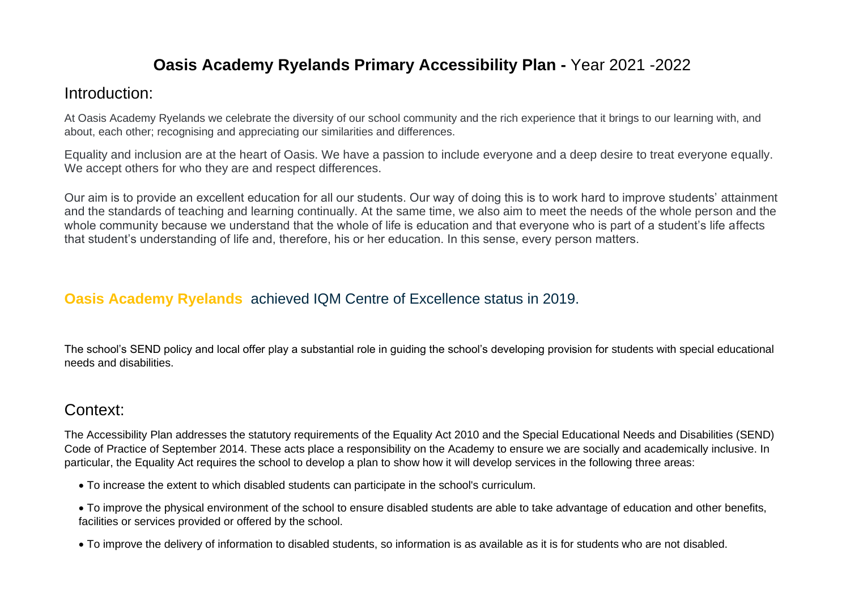#### **Oasis Academy Ryelands Primary Accessibility Plan -** Year 2021 -2022

#### Introduction:

At Oasis Academy Ryelands we celebrate the diversity of our school community and the rich experience that it brings to our learning with, and about, each other; recognising and appreciating our similarities and differences.

Equality and inclusion are at the heart of Oasis. We have a passion to include everyone and a deep desire to treat everyone equally. We accept others for who they are and respect differences.

Our aim is to provide an excellent education for all our students. Our way of doing this is to work hard to improve students' attainment and the standards of teaching and learning continually. At the same time, we also aim to meet the needs of the whole person and the whole community because we understand that the whole of life is education and that everyone who is part of a student's life affects that student's understanding of life and, therefore, his or her education. In this sense, every person matters.

#### **[Oasis Academy Ryelands](https://www.oasisacademyryelands.org/)** achieved IQM Centre of Excellence status in 2019.

The school's SEND policy and local offer play a substantial role in guiding the school's developing provision for students with special educational needs and disabilities.

## Context:

The Accessibility Plan addresses the statutory requirements of the Equality Act 2010 and the Special Educational Needs and Disabilities (SEND) Code of Practice of September 2014. These acts place a responsibility on the Academy to ensure we are socially and academically inclusive. In particular, the Equality Act requires the school to develop a plan to show how it will develop services in the following three areas:

- To increase the extent to which disabled students can participate in the school's curriculum.
- To improve the physical environment of the school to ensure disabled students are able to take advantage of education and other benefits, facilities or services provided or offered by the school.
- To improve the delivery of information to disabled students, so information is as available as it is for students who are not disabled.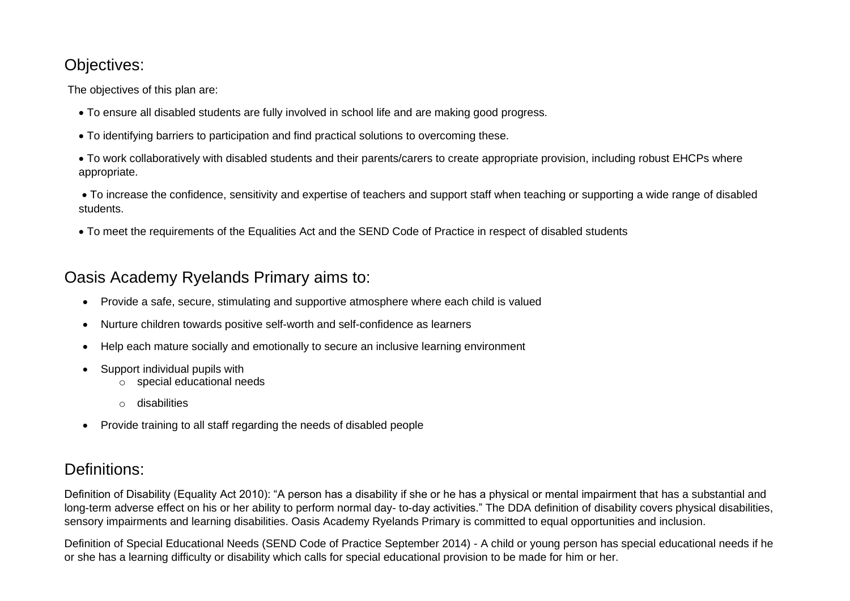## Objectives:

The objectives of this plan are:

- To ensure all disabled students are fully involved in school life and are making good progress.
- To identifying barriers to participation and find practical solutions to overcoming these.
- To work collaboratively with disabled students and their parents/carers to create appropriate provision, including robust EHCPs where appropriate.
- To increase the confidence, sensitivity and expertise of teachers and support staff when teaching or supporting a wide range of disabled students.
- To meet the requirements of the Equalities Act and the SEND Code of Practice in respect of disabled students

## Oasis Academy Ryelands Primary aims to:

- Provide a safe, secure, stimulating and supportive atmosphere where each child is valued
- Nurture children towards positive self-worth and self-confidence as learners
- Help each mature socially and emotionally to secure an inclusive learning environment
- Support individual pupils with
	- o special educational needs
	- o disabilities
- Provide training to all staff regarding the needs of disabled people

# Definitions:

Definition of Disability (Equality Act 2010): "A person has a disability if she or he has a physical or mental impairment that has a substantial and long-term adverse effect on his or her ability to perform normal day- to-day activities." The DDA definition of disability covers physical disabilities, sensory impairments and learning disabilities. Oasis Academy Ryelands Primary is committed to equal opportunities and inclusion.

Definition of Special Educational Needs (SEND Code of Practice September 2014) - A child or young person has special educational needs if he or she has a learning difficulty or disability which calls for special educational provision to be made for him or her.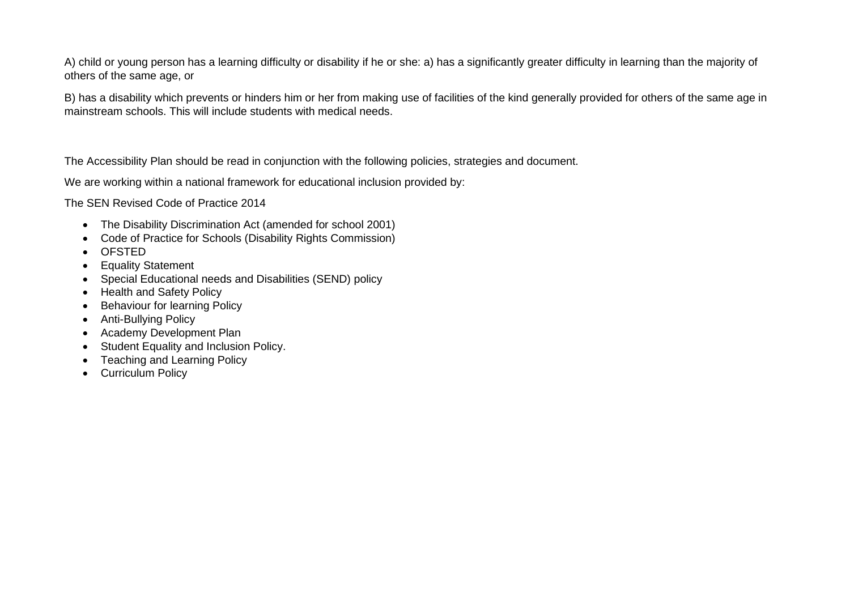A) child or young person has a learning difficulty or disability if he or she: a) has a significantly greater difficulty in learning than the majority of others of the same age, or

B) has a disability which prevents or hinders him or her from making use of facilities of the kind generally provided for others of the same age in mainstream schools. This will include students with medical needs.

The Accessibility Plan should be read in conjunction with the following policies, strategies and document.

We are working within a national framework for educational inclusion provided by:

The SEN Revised Code of Practice 2014

- The Disability Discrimination Act (amended for school 2001)
- Code of Practice for Schools (Disability Rights Commission)
- OFSTED
- Equality Statement
- Special Educational needs and Disabilities (SEND) policy
- Health and Safety Policy
- Behaviour for learning Policy
- Anti-Bullying Policy
- Academy Development Plan
- Student Equality and Inclusion Policy.
- Teaching and Learning Policy
- Curriculum Policy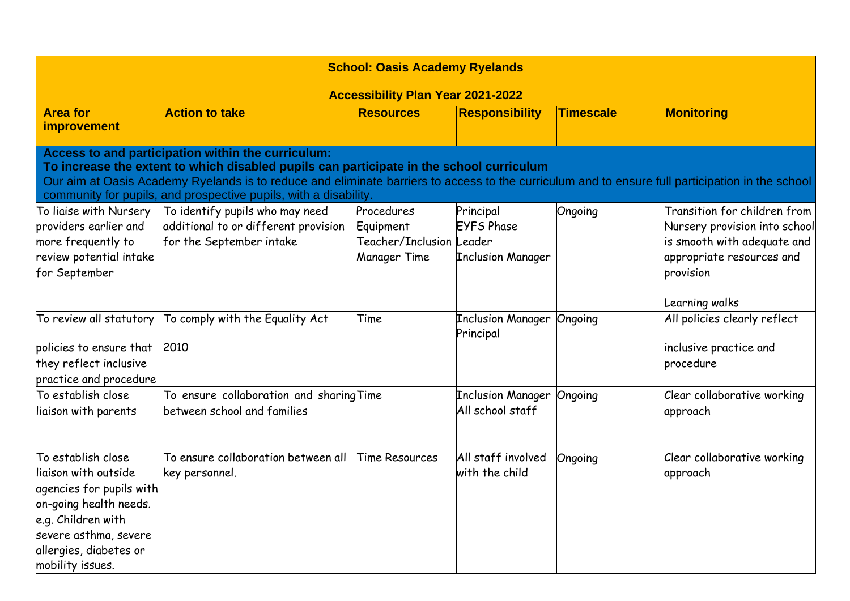| <b>School: Oasis Academy Ryelands</b>                                                                                                                                                                                                                                                                                                                                  |                                                                                                     |                                                                     |                                                            |                  |                                                                                                                                                          |  |  |
|------------------------------------------------------------------------------------------------------------------------------------------------------------------------------------------------------------------------------------------------------------------------------------------------------------------------------------------------------------------------|-----------------------------------------------------------------------------------------------------|---------------------------------------------------------------------|------------------------------------------------------------|------------------|----------------------------------------------------------------------------------------------------------------------------------------------------------|--|--|
| <b>Accessibility Plan Year 2021-2022</b>                                                                                                                                                                                                                                                                                                                               |                                                                                                     |                                                                     |                                                            |                  |                                                                                                                                                          |  |  |
| <b>Area for</b><br>improvement                                                                                                                                                                                                                                                                                                                                         | <b>Action to take</b>                                                                               | <b>Resources</b>                                                    | <b>Responsibility</b>                                      | <b>Timescale</b> | Monitoring                                                                                                                                               |  |  |
| Access to and participation within the curriculum:<br>To increase the extent to which disabled pupils can participate in the school curriculum<br>Our aim at Oasis Academy Ryelands is to reduce and eliminate barriers to access to the curriculum and to ensure full participation in the school<br>community for pupils, and prospective pupils, with a disability. |                                                                                                     |                                                                     |                                                            |                  |                                                                                                                                                          |  |  |
| To liaise with Nursery<br>providers earlier and<br>more frequently to<br>review potential intake<br>for September                                                                                                                                                                                                                                                      | To identify pupils who may need<br>additional to or different provision<br>for the September intake | Procedures<br>Equipment<br>Teacher/Inclusion Leader<br>Manager Time | Principal<br><b>EYFS Phase</b><br><b>Inclusion Manager</b> | Ongoing          | Transition for children from<br>Nursery provision into school<br>is smooth with adequate and<br>appropriate resources and<br>provision<br>Learning walks |  |  |
| To review all statutory<br>policies to ensure that<br>they reflect inclusive<br>practice and procedure                                                                                                                                                                                                                                                                 | To comply with the Equality Act<br>2010                                                             | Time                                                                | <b>Inclusion Manager</b><br>Principal                      | Ongoing          | All policies clearly reflect<br>inclusive practice and<br>procedure                                                                                      |  |  |
| $\mathop{\sf To}\nolimits$ establish close<br>liaison with parents                                                                                                                                                                                                                                                                                                     | To ensure collaboration and sharing Time<br>between school and families                             |                                                                     | <b>Inclusion Manager</b><br>All school staff               | Ongoing          | Clear collaborative working<br>approach                                                                                                                  |  |  |
| To establish close<br>liaison with outside<br>agencies for pupils with<br>on-going health needs.<br>e.g. Children with<br>severe asthma, severe<br>allergies, diabetes or<br>mobility issues.                                                                                                                                                                          | To ensure collaboration between all<br>key personnel.                                               | Time Resources                                                      | All staff involved<br>with the child                       | Ongoing          | Clear collaborative working<br>approach                                                                                                                  |  |  |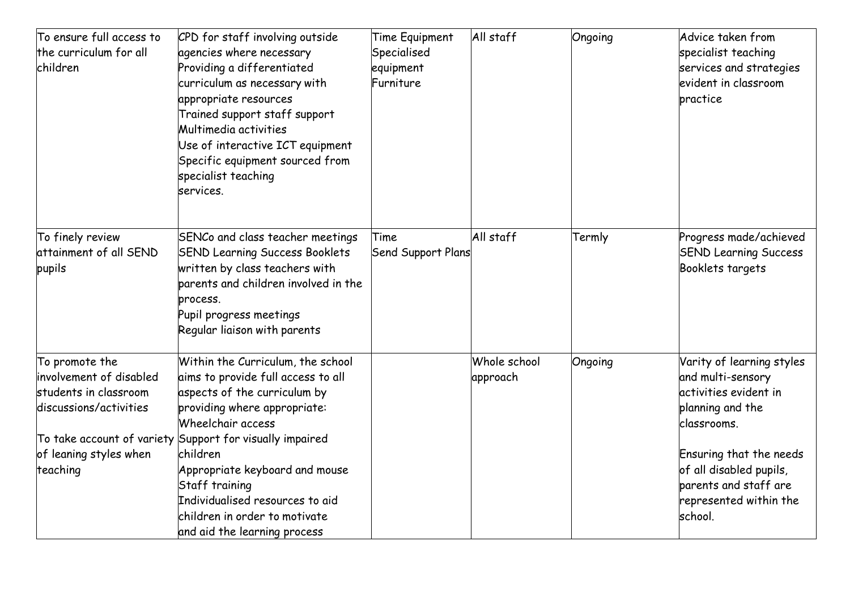| To ensure full access to<br>the curriculum for all<br>children                                                                     | CPD for staff involving outside<br>agencies where necessary<br>Providing a differentiated<br>curriculum as necessary with<br>appropriate resources<br>Trained support staff support<br>Multimedia activities<br>Use of interactive ICT equipment<br>Specific equipment sourced from<br>specialist teaching<br>services.                                                                      | Time Equipment<br>Specialised<br>equipment<br>Furniture | All staff                | Ongoing | Advice taken from<br>specialist teaching<br>services and strategies<br>evident in classroom<br>practice                                                                                                                        |
|------------------------------------------------------------------------------------------------------------------------------------|----------------------------------------------------------------------------------------------------------------------------------------------------------------------------------------------------------------------------------------------------------------------------------------------------------------------------------------------------------------------------------------------|---------------------------------------------------------|--------------------------|---------|--------------------------------------------------------------------------------------------------------------------------------------------------------------------------------------------------------------------------------|
| To finely review<br>attainment of all SEND<br>pupils                                                                               | SENCo and class teacher meetings<br><b>SEND Learning Success Booklets</b><br>written by class teachers with<br>parents and children involved in the<br>process.<br>Pupil progress meetings<br>Regular liaison with parents                                                                                                                                                                   | Time<br>Send Support Plans                              | All staff                | Termly  | Progress made/achieved<br><b>SEND Learning Success</b><br>Booklets targets                                                                                                                                                     |
| To promote the<br>involvement of disabled<br>students in classroom<br>discussions/activities<br>of leaning styles when<br>teaching | Within the Curriculum, the school<br>aims to provide full access to all<br>aspects of the curriculum by<br>providing where appropriate:<br>Wheelchair access<br>To take account of variety Support for visually impaired<br>children<br>Appropriate keyboard and mouse<br>Staff training<br>Individualised resources to aid<br>children in order to motivate<br>and aid the learning process |                                                         | Whole school<br>approach | Ongoing | Varity of learning styles<br>and multi-sensory<br>activities evident in<br>planning and the<br>classrooms.<br>Ensuring that the needs<br>of all disabled pupils,<br>parents and staff are<br>represented within the<br>school. |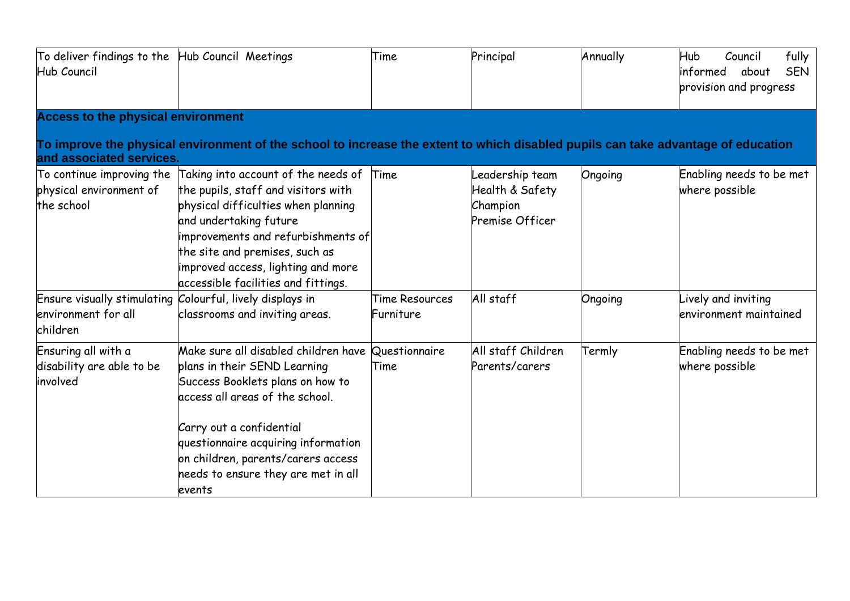| To deliver findings to the Hub Council Meetings<br>Hub Council     |                                                                                                                                                                                                                                                                                                                     | Time                               | Principal                                                         | Annually | fully<br>Hub<br>Council<br>linformed<br><b>SEN</b><br>about<br>provision and progress |
|--------------------------------------------------------------------|---------------------------------------------------------------------------------------------------------------------------------------------------------------------------------------------------------------------------------------------------------------------------------------------------------------------|------------------------------------|-------------------------------------------------------------------|----------|---------------------------------------------------------------------------------------|
| <b>Access to the physical environment</b>                          |                                                                                                                                                                                                                                                                                                                     |                                    |                                                                   |          |                                                                                       |
| and associated services.                                           | To improve the physical environment of the school to increase the extent to which disabled pupils can take advantage of education                                                                                                                                                                                   |                                    |                                                                   |          |                                                                                       |
| To continue improving the<br>physical environment of<br>the school | Taking into account of the needs of Time<br>the pupils, staff and visitors with<br>physical difficulties when planning<br>and undertaking future<br>improvements and refurbishments of<br>the site and premises, such as<br>improved access, lighting and more<br>accessible facilities and fittings.               |                                    | Leadership team<br>Health & Safety<br>Champion<br>Premise Officer | Ongoing  | Enabling needs to be met<br>where possible                                            |
| environment for all<br>children                                    | Ensure visually stimulating Colourful, lively displays in<br>classrooms and inviting areas.                                                                                                                                                                                                                         | <b>Time Resources</b><br>Furniture | All staff                                                         | Ongoing  | Lively and inviting<br>environment maintained                                         |
| Ensuring all with a<br>disability are able to be<br>involved       | Make sure all disabled children have Questionnaire<br>plans in their SEND Learning<br>Success Booklets plans on how to<br>access all areas of the school.<br>Carry out a confidential<br>questionnaire acquiring information<br>on children, parents/carers access<br>needs to ensure they are met in all<br>events | Time                               | All staff Children<br>Parents/carers                              | Termly   | Enabling needs to be met<br>where possible                                            |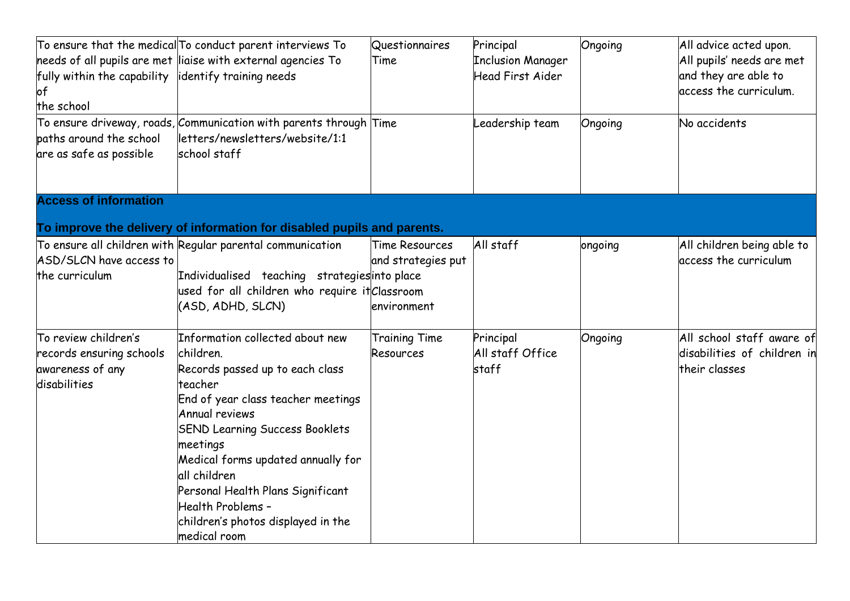|                                                      | To ensure that the medical To conduct parent interviews To                  | Questionnaires        | Principal                | Ongoing | All advice acted upon.      |
|------------------------------------------------------|-----------------------------------------------------------------------------|-----------------------|--------------------------|---------|-----------------------------|
|                                                      | $\,$ heeds of all pupils are met $\,$ liaise with external agencies To $\,$ | Time                  | <b>Inclusion Manager</b> |         | All pupils' needs are met   |
| fully within the capability lidentify training needs |                                                                             |                       | <b>Head First Aider</b>  |         | and they are able to        |
| of                                                   |                                                                             |                       |                          |         | access the curriculum.      |
| the school                                           |                                                                             |                       |                          |         |                             |
|                                                      | To ensure driveway, roads, Communication with parents through Time          |                       | eadership team.          | Ongoing | No accidents                |
| paths around the school                              | letters/newsletters/website/1:1                                             |                       |                          |         |                             |
| are as safe as possible                              | school staff                                                                |                       |                          |         |                             |
| <b>Access of information</b>                         |                                                                             |                       |                          |         |                             |
|                                                      | To improve the delivery of information for disabled pupils and parents.     |                       |                          |         |                             |
|                                                      | To ensure all children with Regular parental communication                  | <b>Time Resources</b> | All staff                | ongoing | All children being able to  |
| ASD/SLCN have access to                              |                                                                             | and strategies put    |                          |         | access the curriculum       |
| the curriculum                                       | Individualised teaching strategies into place                               |                       |                          |         |                             |
|                                                      | used for all children who require it Classroom                              |                       |                          |         |                             |
|                                                      | (ASD, ADHD, SLCN)                                                           | environment           |                          |         |                             |
| To review children's                                 | Information collected about new                                             | <b>Training Time</b>  | Principal                | Ongoing | All school staff aware of   |
| records ensuring schools                             | children.                                                                   | <b>Resources</b>      | All staff Office         |         | disabilities of children in |
| awareness of any                                     | Records passed up to each class                                             |                       | staff                    |         | their classes               |
| disabilities                                         | teacher                                                                     |                       |                          |         |                             |
|                                                      | End of year class teacher meetings                                          |                       |                          |         |                             |
|                                                      | <b>Annual reviews</b>                                                       |                       |                          |         |                             |
|                                                      | <b>SEND Learning Success Booklets</b>                                       |                       |                          |         |                             |
|                                                      | meetings                                                                    |                       |                          |         |                             |
|                                                      | Medical forms updated annually for                                          |                       |                          |         |                             |
|                                                      | all children                                                                |                       |                          |         |                             |
|                                                      | Personal Health Plans Significant                                           |                       |                          |         |                             |
|                                                      | Health Problems -                                                           |                       |                          |         |                             |
|                                                      | children's photos displayed in the                                          |                       |                          |         |                             |
|                                                      | medical room                                                                |                       |                          |         |                             |